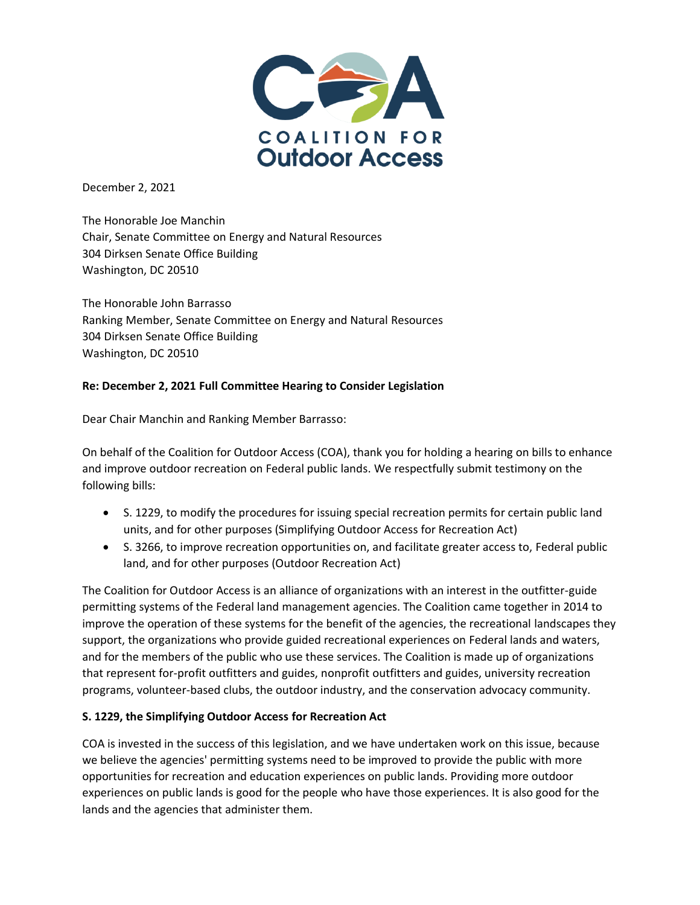

December 2, 2021

The Honorable Joe Manchin Chair, Senate Committee on Energy and Natural Resources 304 Dirksen Senate Office Building Washington, DC 20510

The Honorable John Barrasso Ranking Member, Senate Committee on Energy and Natural Resources 304 Dirksen Senate Office Building Washington, DC 20510

# **Re: December 2, 2021 Full Committee Hearing to Consider Legislation**

Dear Chair Manchin and Ranking Member Barrasso:

On behalf of the Coalition for Outdoor Access (COA), thank you for holding a hearing on bills to enhance and improve outdoor recreation on Federal public lands. We respectfully submit testimony on the following bills:

- S. 1229, to modify the procedures for issuing special recreation permits for certain public land units, and for other purposes (Simplifying Outdoor Access for Recreation Act)
- S. 3266, to improve recreation opportunities on, and facilitate greater access to, Federal public land, and for other purposes (Outdoor Recreation Act)

The Coalition for Outdoor Access is an alliance of organizations with an interest in the outfitter-guide permitting systems of the Federal land management agencies. The Coalition came together in 2014 to improve the operation of these systems for the benefit of the agencies, the recreational landscapes they support, the organizations who provide guided recreational experiences on Federal lands and waters, and for the members of the public who use these services. The Coalition is made up of organizations that represent for-profit outfitters and guides, nonprofit outfitters and guides, university recreation programs, volunteer-based clubs, the outdoor industry, and the conservation advocacy community.

### **S. 1229, the Simplifying Outdoor Access for Recreation Act**

COA is invested in the success of this legislation, and we have undertaken work on this issue, because we believe the agencies' permitting systems need to be improved to provide the public with more opportunities for recreation and education experiences on public lands. Providing more outdoor experiences on public lands is good for the people who have those experiences. It is also good for the lands and the agencies that administer them.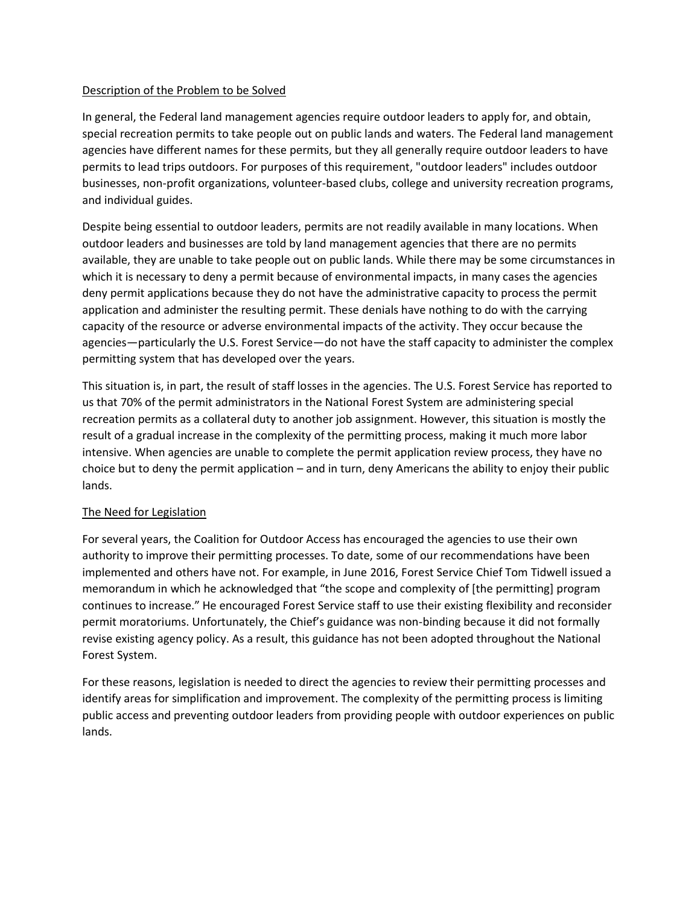### Description of the Problem to be Solved

In general, the Federal land management agencies require outdoor leaders to apply for, and obtain, special recreation permits to take people out on public lands and waters. The Federal land management agencies have different names for these permits, but they all generally require outdoor leaders to have permits to lead trips outdoors. For purposes of this requirement, "outdoor leaders" includes outdoor businesses, non-profit organizations, volunteer-based clubs, college and university recreation programs, and individual guides.

Despite being essential to outdoor leaders, permits are not readily available in many locations. When outdoor leaders and businesses are told by land management agencies that there are no permits available, they are unable to take people out on public lands. While there may be some circumstances in which it is necessary to deny a permit because of environmental impacts, in many cases the agencies deny permit applications because they do not have the administrative capacity to process the permit application and administer the resulting permit. These denials have nothing to do with the carrying capacity of the resource or adverse environmental impacts of the activity. They occur because the agencies—particularly the U.S. Forest Service—do not have the staff capacity to administer the complex permitting system that has developed over the years.

This situation is, in part, the result of staff losses in the agencies. The U.S. Forest Service has reported to us that 70% of the permit administrators in the National Forest System are administering special recreation permits as a collateral duty to another job assignment. However, this situation is mostly the result of a gradual increase in the complexity of the permitting process, making it much more labor intensive. When agencies are unable to complete the permit application review process, they have no choice but to deny the permit application – and in turn, deny Americans the ability to enjoy their public lands.

### The Need for Legislation

For several years, the Coalition for Outdoor Access has encouraged the agencies to use their own authority to improve their permitting processes. To date, some of our recommendations have been implemented and others have not. For example, in June 2016, Forest Service Chief Tom Tidwell issued a memorandum in which he acknowledged that "the scope and complexity of [the permitting] program continues to increase." He encouraged Forest Service staff to use their existing flexibility and reconsider permit moratoriums. Unfortunately, the Chief's guidance was non-binding because it did not formally revise existing agency policy. As a result, this guidance has not been adopted throughout the National Forest System.

For these reasons, legislation is needed to direct the agencies to review their permitting processes and identify areas for simplification and improvement. The complexity of the permitting process is limiting public access and preventing outdoor leaders from providing people with outdoor experiences on public lands.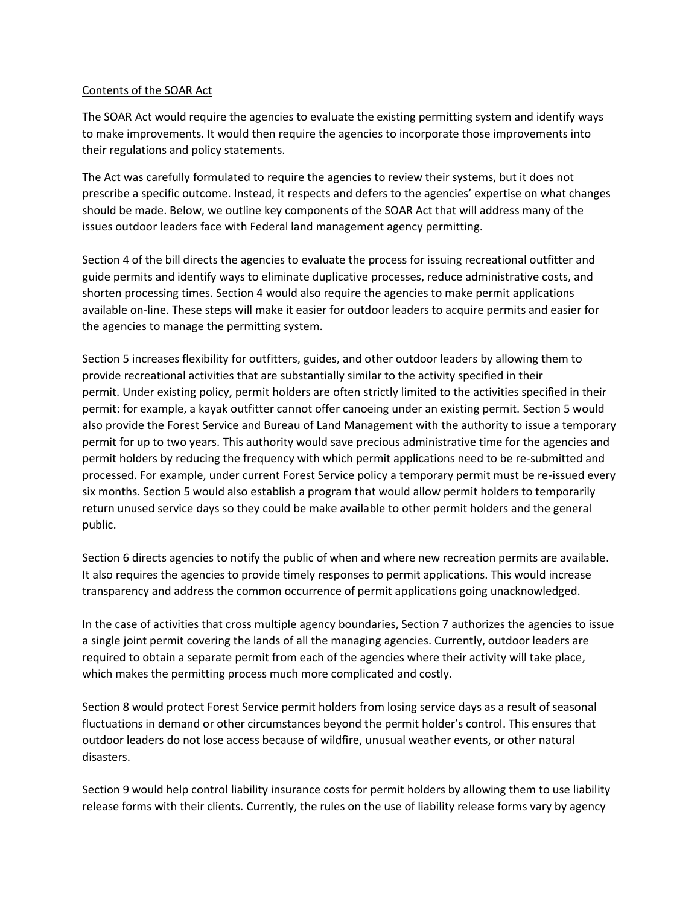#### Contents of the SOAR Act

The SOAR Act would require the agencies to evaluate the existing permitting system and identify ways to make improvements. It would then require the agencies to incorporate those improvements into their regulations and policy statements.

The Act was carefully formulated to require the agencies to review their systems, but it does not prescribe a specific outcome. Instead, it respects and defers to the agencies' expertise on what changes should be made. Below, we outline key components of the SOAR Act that will address many of the issues outdoor leaders face with Federal land management agency permitting.

Section 4 of the bill directs the agencies to evaluate the process for issuing recreational outfitter and guide permits and identify ways to eliminate duplicative processes, reduce administrative costs, and shorten processing times. Section 4 would also require the agencies to make permit applications available on-line. These steps will make it easier for outdoor leaders to acquire permits and easier for the agencies to manage the permitting system.

Section 5 increases flexibility for outfitters, guides, and other outdoor leaders by allowing them to provide recreational activities that are substantially similar to the activity specified in their permit. Under existing policy, permit holders are often strictly limited to the activities specified in their permit: for example, a kayak outfitter cannot offer canoeing under an existing permit. Section 5 would also provide the Forest Service and Bureau of Land Management with the authority to issue a temporary permit for up to two years. This authority would save precious administrative time for the agencies and permit holders by reducing the frequency with which permit applications need to be re-submitted and processed. For example, under current Forest Service policy a temporary permit must be re-issued every six months. Section 5 would also establish a program that would allow permit holders to temporarily return unused service days so they could be make available to other permit holders and the general public.

Section 6 directs agencies to notify the public of when and where new recreation permits are available. It also requires the agencies to provide timely responses to permit applications. This would increase transparency and address the common occurrence of permit applications going unacknowledged.

In the case of activities that cross multiple agency boundaries, Section 7 authorizes the agencies to issue a single joint permit covering the lands of all the managing agencies. Currently, outdoor leaders are required to obtain a separate permit from each of the agencies where their activity will take place, which makes the permitting process much more complicated and costly.

Section 8 would protect Forest Service permit holders from losing service days as a result of seasonal fluctuations in demand or other circumstances beyond the permit holder's control. This ensures that outdoor leaders do not lose access because of wildfire, unusual weather events, or other natural disasters.

Section 9 would help control liability insurance costs for permit holders by allowing them to use liability release forms with their clients. Currently, the rules on the use of liability release forms vary by agency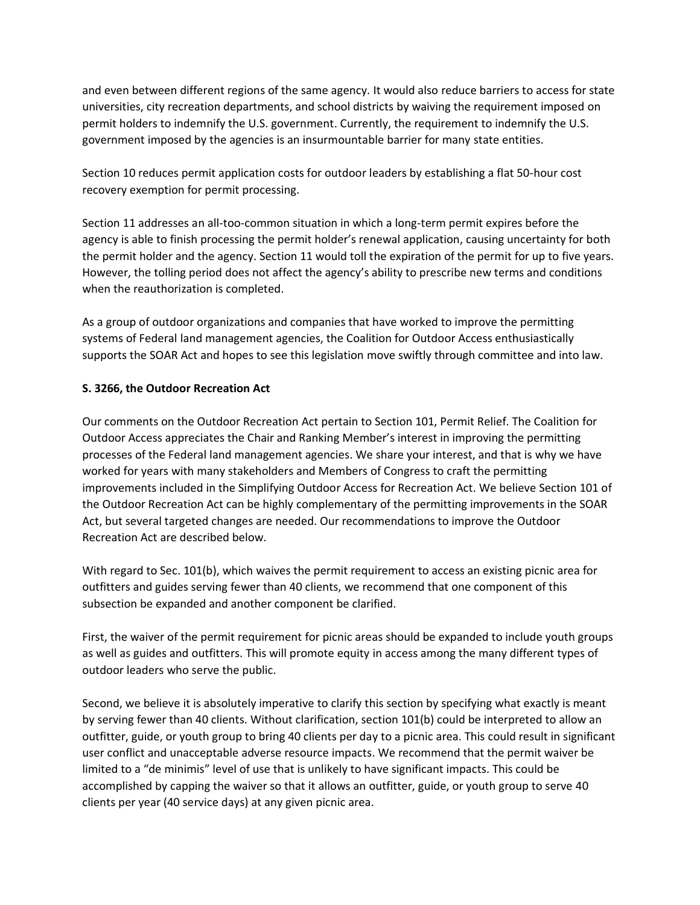and even between different regions of the same agency. It would also reduce barriers to access for state universities, city recreation departments, and school districts by waiving the requirement imposed on permit holders to indemnify the U.S. government. Currently, the requirement to indemnify the U.S. government imposed by the agencies is an insurmountable barrier for many state entities.

Section 10 reduces permit application costs for outdoor leaders by establishing a flat 50-hour cost recovery exemption for permit processing.

Section 11 addresses an all-too-common situation in which a long-term permit expires before the agency is able to finish processing the permit holder's renewal application, causing uncertainty for both the permit holder and the agency. Section 11 would toll the expiration of the permit for up to five years. However, the tolling period does not affect the agency's ability to prescribe new terms and conditions when the reauthorization is completed.

As a group of outdoor organizations and companies that have worked to improve the permitting systems of Federal land management agencies, the Coalition for Outdoor Access enthusiastically supports the SOAR Act and hopes to see this legislation move swiftly through committee and into law.

# **S. 3266, the Outdoor Recreation Act**

Our comments on the Outdoor Recreation Act pertain to Section 101, Permit Relief. The Coalition for Outdoor Access appreciates the Chair and Ranking Member's interest in improving the permitting processes of the Federal land management agencies. We share your interest, and that is why we have worked for years with many stakeholders and Members of Congress to craft the permitting improvements included in the Simplifying Outdoor Access for Recreation Act. We believe Section 101 of the Outdoor Recreation Act can be highly complementary of the permitting improvements in the SOAR Act, but several targeted changes are needed. Our recommendations to improve the Outdoor Recreation Act are described below.

With regard to Sec. 101(b), which waives the permit requirement to access an existing picnic area for outfitters and guides serving fewer than 40 clients, we recommend that one component of this subsection be expanded and another component be clarified.

First, the waiver of the permit requirement for picnic areas should be expanded to include youth groups as well as guides and outfitters. This will promote equity in access among the many different types of outdoor leaders who serve the public.

Second, we believe it is absolutely imperative to clarify this section by specifying what exactly is meant by serving fewer than 40 clients. Without clarification, section 101(b) could be interpreted to allow an outfitter, guide, or youth group to bring 40 clients per day to a picnic area. This could result in significant user conflict and unacceptable adverse resource impacts. We recommend that the permit waiver be limited to a "de minimis" level of use that is unlikely to have significant impacts. This could be accomplished by capping the waiver so that it allows an outfitter, guide, or youth group to serve 40 clients per year (40 service days) at any given picnic area.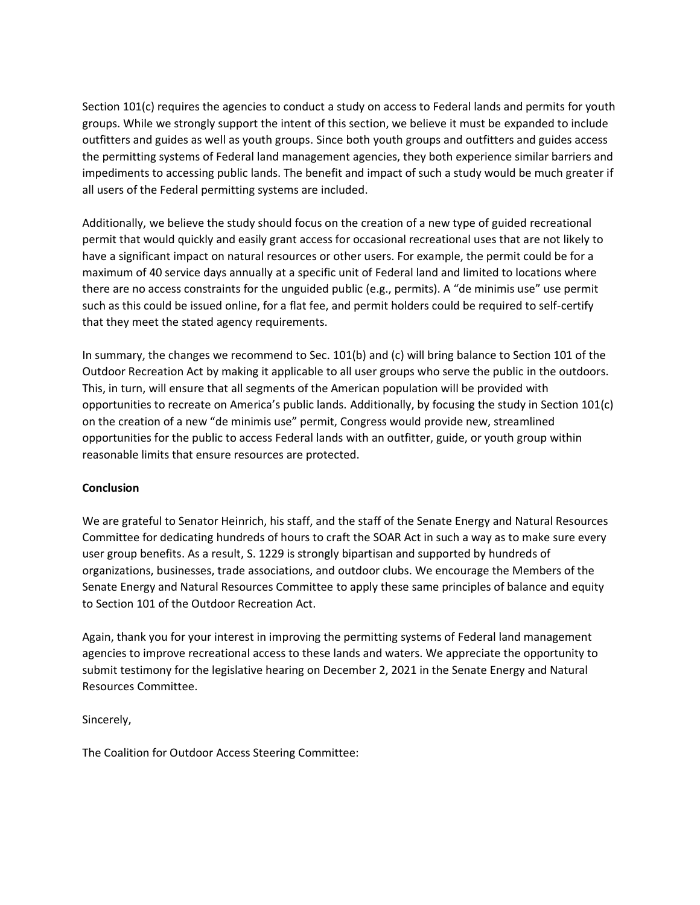Section 101(c) requires the agencies to conduct a study on access to Federal lands and permits for youth groups. While we strongly support the intent of this section, we believe it must be expanded to include outfitters and guides as well as youth groups. Since both youth groups and outfitters and guides access the permitting systems of Federal land management agencies, they both experience similar barriers and impediments to accessing public lands. The benefit and impact of such a study would be much greater if all users of the Federal permitting systems are included.

Additionally, we believe the study should focus on the creation of a new type of guided recreational permit that would quickly and easily grant access for occasional recreational uses that are not likely to have a significant impact on natural resources or other users. For example, the permit could be for a maximum of 40 service days annually at a specific unit of Federal land and limited to locations where there are no access constraints for the unguided public (e.g., permits). A "de minimis use" use permit such as this could be issued online, for a flat fee, and permit holders could be required to self-certify that they meet the stated agency requirements.

In summary, the changes we recommend to Sec. 101(b) and (c) will bring balance to Section 101 of the Outdoor Recreation Act by making it applicable to all user groups who serve the public in the outdoors. This, in turn, will ensure that all segments of the American population will be provided with opportunities to recreate on America's public lands. Additionally, by focusing the study in Section 101(c) on the creation of a new "de minimis use" permit, Congress would provide new, streamlined opportunities for the public to access Federal lands with an outfitter, guide, or youth group within reasonable limits that ensure resources are protected.

### **Conclusion**

We are grateful to Senator Heinrich, his staff, and the staff of the Senate Energy and Natural Resources Committee for dedicating hundreds of hours to craft the SOAR Act in such a way as to make sure every user group benefits. As a result, S. 1229 is strongly bipartisan and supported by hundreds of organizations, businesses, trade associations, and outdoor clubs. We encourage the Members of the Senate Energy and Natural Resources Committee to apply these same principles of balance and equity to Section 101 of the Outdoor Recreation Act.

Again, thank you for your interest in improving the permitting systems of Federal land management agencies to improve recreational access to these lands and waters. We appreciate the opportunity to submit testimony for the legislative hearing on December 2, 2021 in the Senate Energy and Natural Resources Committee.

Sincerely,

The Coalition for Outdoor Access Steering Committee: